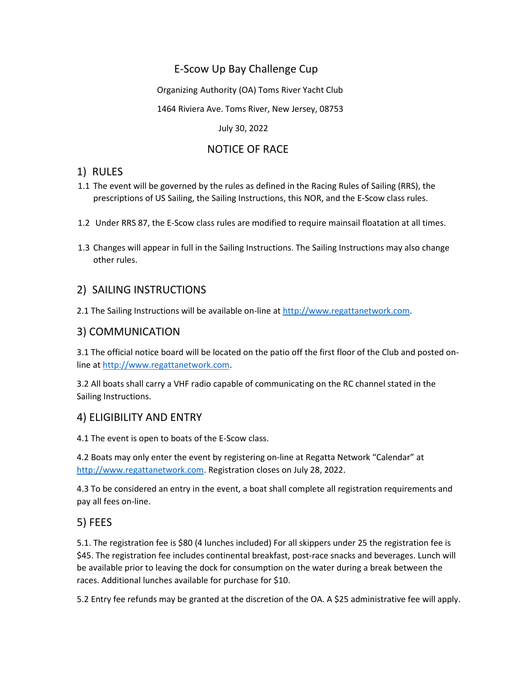# E-Scow Up Bay Challenge Cup

Organizing Authority (OA) Toms River Yacht Club

1464 Riviera Ave. Toms River, New Jersey, 08753

July 30, 2022

# NOTICE OF RACE

# 1) RULES

- 1.1 The event will be governed by the rules as defined in the Racing Rules of Sailing (RRS), the prescriptions of US Sailing, the Sailing Instructions, this NOR, and the E-Scow class rules.
- 1.2 Under RRS 87, the E-Scow class rules are modified to require mainsail floatation at all times.
- 1.3 Changes will appear in full in the Sailing Instructions. The Sailing Instructions may also change other rules.

# 2) SAILING INSTRUCTIONS

2.1 The Sailing Instructions will be available on-line at [http://www.regattanetwork.com.](http://www.regattanetwork.com/)

# 3) COMMUNICATION

3.1 The official notice board will be located on the patio off the first floor of the Club and posted online at [http://www.regattanetwork.com.](http://www.regattanetwork.com/)

3.2 All boats shall carry a VHF radio capable of communicating on the RC channel stated in the Sailing Instructions.

# 4) ELIGIBILITY AND ENTRY

4.1 The event is open to boats of the E-Scow class.

4.2 Boats may only enter the event by registering on-line at Regatta Network "Calendar" at [http://www.regattanetwork.com.](http://www.regattanetwork.com/) Registration closes on July 28, 2022.

4.3 To be considered an entry in the event, a boat shall complete all registration requirements and pay all fees on-line.

# 5) FEES

5.1. The registration fee is \$80 (4 lunches included) For all skippers under 25 the registration fee is \$45. The registration fee includes continental breakfast, post-race snacks and beverages. Lunch will be available prior to leaving the dock for consumption on the water during a break between the races. Additional lunches available for purchase for \$10.

5.2 Entry fee refunds may be granted at the discretion of the OA. A \$25 administrative fee will apply.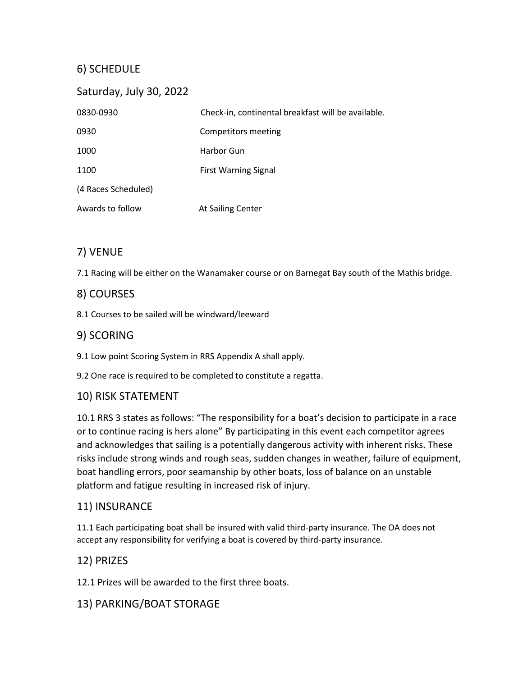# 6) SCHEDULE

| Saturday, July 30, 2022 |                                                    |
|-------------------------|----------------------------------------------------|
| 0830-0930               | Check-in, continental breakfast will be available. |
| 0930                    | Competitors meeting                                |
| 1000                    | Harbor Gun                                         |
| 1100                    | <b>First Warning Signal</b>                        |
| (4 Races Scheduled)     |                                                    |
| Awards to follow        | At Sailing Center                                  |

# 7) VENUE

7.1 Racing will be either on the Wanamaker course or on Barnegat Bay south of the Mathis bridge.

#### 8) COURSES

8.1 Courses to be sailed will be windward/leeward

#### 9) SCORING

9.1 Low point Scoring System in RRS Appendix A shall apply.

9.2 One race is required to be completed to constitute a regatta.

# 10) RISK STATEMENT

10.1 RRS 3 states as follows: "The responsibility for a boat's decision to participate in a race or to continue racing is hers alone" By participating in this event each competitor agrees and acknowledges that sailing is a potentially dangerous activity with inherent risks. These risks include strong winds and rough seas, sudden changes in weather, failure of equipment, boat handling errors, poor seamanship by other boats, loss of balance on an unstable platform and fatigue resulting in increased risk of injury.

# 11) INSURANCE

11.1 Each participating boat shall be insured with valid third-party insurance. The OA does not accept any responsibility for verifying a boat is covered by third-party insurance.

#### 12) PRIZES

12.1 Prizes will be awarded to the first three boats.

# 13) PARKING/BOAT STORAGE